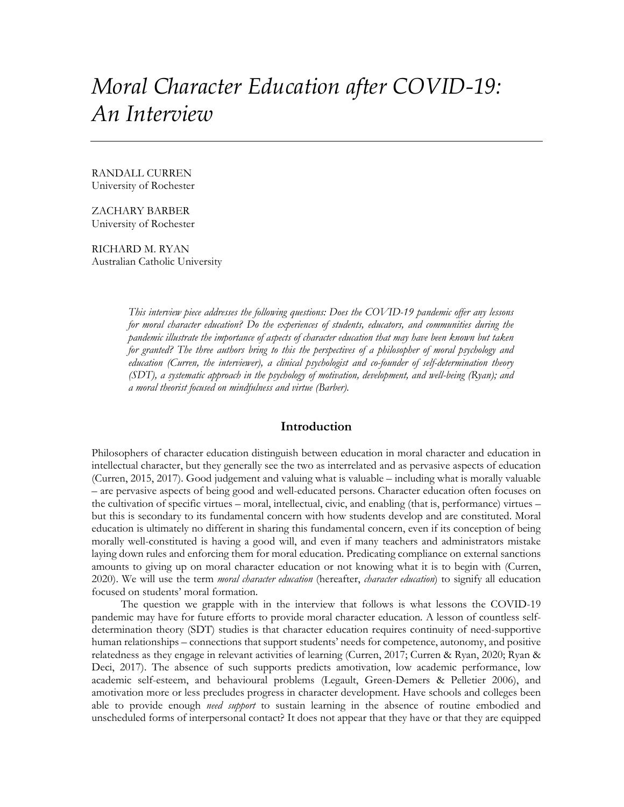# *Moral Character Education after COVID-19: An Interview*

RANDALL CURREN University of Rochester

ZACHARY BARBER University of Rochester

RICHARD M. RYAN Australian Catholic University

> *This interview piece addresses the following questions: Does the COVID-19 pandemic offer any lessons for moral character education? Do the experiences of students, educators, and communities during the pandemic illustrate the importance of aspects of character education that may have been known but taken for granted? The three authors bring to this the perspectives of a philosopher of moral psychology and education (Curren, the interviewer), a clinical psychologist and co-founder of self-determination theory (SDT), a systematic approach in the psychology of motivation, development, and well-being (Ryan); and a moral theorist focused on mindfulness and virtue (Barber).*

## **Introduction**

Philosophers of character education distinguish between education in moral character and education in intellectual character, but they generally see the two as interrelated and as pervasive aspects of education (Curren, 2015, 2017). Good judgement and valuing what is valuable – including what is morally valuable – are pervasive aspects of being good and well-educated persons. Character education often focuses on the cultivation of specific virtues – moral, intellectual, civic, and enabling (that is, performance) virtues – but this is secondary to its fundamental concern with how students develop and are constituted. Moral education is ultimately no different in sharing this fundamental concern, even if its conception of being morally well-constituted is having a good will, and even if many teachers and administrators mistake laying down rules and enforcing them for moral education. Predicating compliance on external sanctions amounts to giving up on moral character education or not knowing what it is to begin with (Curren, 2020). We will use the term *moral character education* (hereafter, *character education*) to signify all education focused on students' moral formation.

The question we grapple with in the interview that follows is what lessons the COVID-19 pandemic may have for future efforts to provide moral character education. A lesson of countless selfdetermination theory (SDT) studies is that character education requires continuity of need-supportive human relationships – connections that support students' needs for competence, autonomy, and positive relatedness as they engage in relevant activities of learning (Curren, 2017; Curren & Ryan, 2020; Ryan & Deci, 2017). The absence of such supports predicts amotivation, low academic performance, low academic self-esteem, and behavioural problems (Legault, Green-Demers & Pelletier 2006), and amotivation more or less precludes progress in character development. Have schools and colleges been able to provide enough *need support* to sustain learning in the absence of routine embodied and unscheduled forms of interpersonal contact? It does not appear that they have or that they are equipped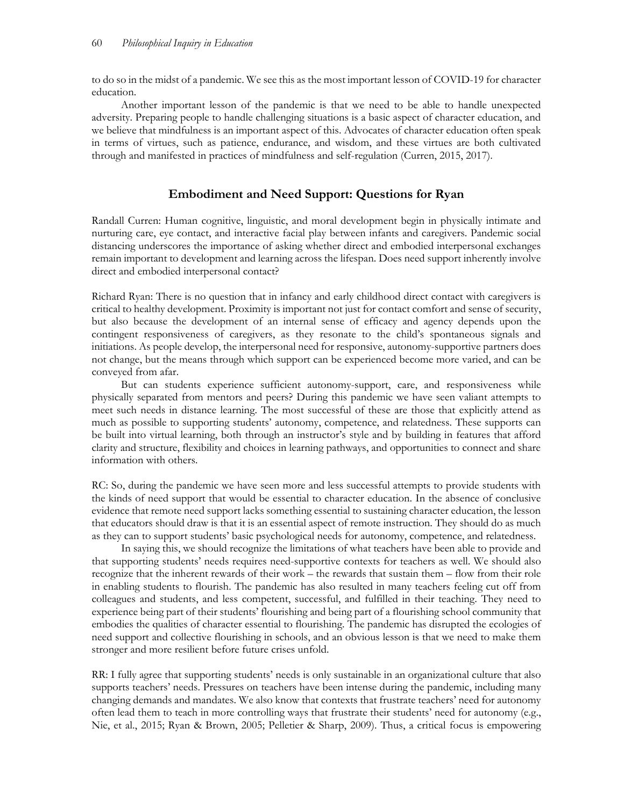to do so in the midst of a pandemic. We see this as the most important lesson of COVID-19 for character education.

Another important lesson of the pandemic is that we need to be able to handle unexpected adversity. Preparing people to handle challenging situations is a basic aspect of character education, and we believe that mindfulness is an important aspect of this. Advocates of character education often speak in terms of virtues, such as patience, endurance, and wisdom, and these virtues are both cultivated through and manifested in practices of mindfulness and self-regulation (Curren, 2015, 2017).

# **Embodiment and Need Support: Questions for Ryan**

Randall Curren: Human cognitive, linguistic, and moral development begin in physically intimate and nurturing care, eye contact, and interactive facial play between infants and caregivers. Pandemic social distancing underscores the importance of asking whether direct and embodied interpersonal exchanges remain important to development and learning across the lifespan. Does need support inherently involve direct and embodied interpersonal contact?

Richard Ryan: There is no question that in infancy and early childhood direct contact with caregivers is critical to healthy development. Proximity is important not just for contact comfort and sense of security, but also because the development of an internal sense of efficacy and agency depends upon the contingent responsiveness of caregivers, as they resonate to the child's spontaneous signals and initiations. As people develop, the interpersonal need for responsive, autonomy-supportive partners does not change, but the means through which support can be experienced become more varied, and can be conveyed from afar.

But can students experience sufficient autonomy-support, care, and responsiveness while physically separated from mentors and peers? During this pandemic we have seen valiant attempts to meet such needs in distance learning. The most successful of these are those that explicitly attend as much as possible to supporting students' autonomy, competence, and relatedness. These supports can be built into virtual learning, both through an instructor's style and by building in features that afford clarity and structure, flexibility and choices in learning pathways, and opportunities to connect and share information with others.

RC: So, during the pandemic we have seen more and less successful attempts to provide students with the kinds of need support that would be essential to character education. In the absence of conclusive evidence that remote need support lacks something essential to sustaining character education, the lesson that educators should draw is that it is an essential aspect of remote instruction. They should do as much as they can to support students' basic psychological needs for autonomy, competence, and relatedness.

In saying this, we should recognize the limitations of what teachers have been able to provide and that supporting students' needs requires need-supportive contexts for teachers as well. We should also recognize that the inherent rewards of their work – the rewards that sustain them – flow from their role in enabling students to flourish. The pandemic has also resulted in many teachers feeling cut off from colleagues and students, and less competent, successful, and fulfilled in their teaching. They need to experience being part of their students' flourishing and being part of a flourishing school community that embodies the qualities of character essential to flourishing. The pandemic has disrupted the ecologies of need support and collective flourishing in schools, and an obvious lesson is that we need to make them stronger and more resilient before future crises unfold.

RR: I fully agree that supporting students' needs is only sustainable in an organizational culture that also supports teachers' needs. Pressures on teachers have been intense during the pandemic, including many changing demands and mandates. We also know that contexts that frustrate teachers' need for autonomy often lead them to teach in more controlling ways that frustrate their students' need for autonomy (e.g., Nie, et al., 2015; Ryan & Brown, 2005; Pelletier & Sharp, 2009). Thus, a critical focus is empowering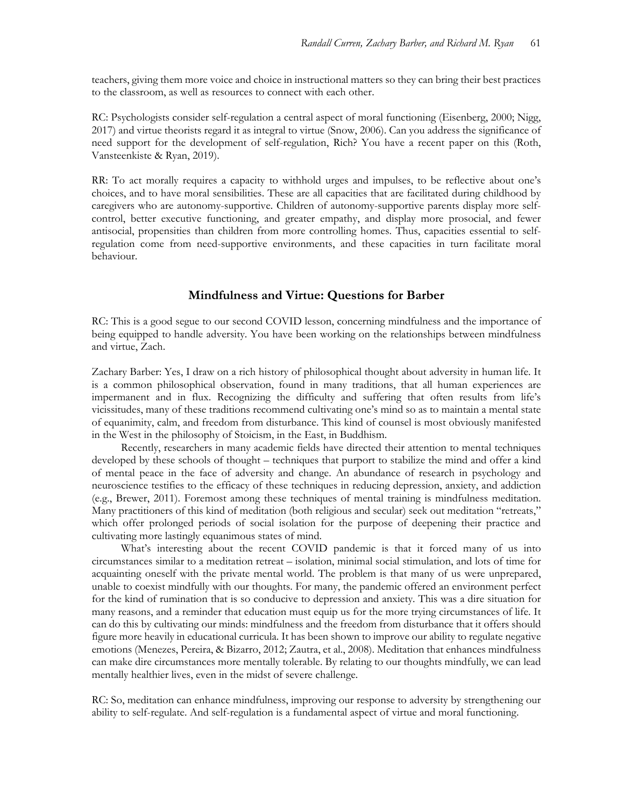teachers, giving them more voice and choice in instructional matters so they can bring their best practices to the classroom, as well as resources to connect with each other.

RC: Psychologists consider self-regulation a central aspect of moral functioning (Eisenberg, 2000; Nigg, 2017) and virtue theorists regard it as integral to virtue (Snow, 2006). Can you address the significance of need support for the development of self-regulation, Rich? You have a recent paper on this (Roth, Vansteenkiste & Ryan, 2019).

RR: To act morally requires a capacity to withhold urges and impulses, to be reflective about one's choices, and to have moral sensibilities. These are all capacities that are facilitated during childhood by caregivers who are autonomy-supportive. Children of autonomy-supportive parents display more selfcontrol, better executive functioning, and greater empathy, and display more prosocial, and fewer antisocial, propensities than children from more controlling homes. Thus, capacities essential to selfregulation come from need-supportive environments, and these capacities in turn facilitate moral behaviour.

#### **Mindfulness and Virtue: Questions for Barber**

RC: This is a good segue to our second COVID lesson, concerning mindfulness and the importance of being equipped to handle adversity. You have been working on the relationships between mindfulness and virtue, Zach.

Zachary Barber: Yes, I draw on a rich history of philosophical thought about adversity in human life. It is a common philosophical observation, found in many traditions, that all human experiences are impermanent and in flux. Recognizing the difficulty and suffering that often results from life's vicissitudes, many of these traditions recommend cultivating one's mind so as to maintain a mental state of equanimity, calm, and freedom from disturbance. This kind of counsel is most obviously manifested in the West in the philosophy of Stoicism, in the East, in Buddhism.

Recently, researchers in many academic fields have directed their attention to mental techniques developed by these schools of thought – techniques that purport to stabilize the mind and offer a kind of mental peace in the face of adversity and change. An abundance of research in psychology and neuroscience testifies to the efficacy of these techniques in reducing depression, anxiety, and addiction (e.g., Brewer, 2011). Foremost among these techniques of mental training is mindfulness meditation. Many practitioners of this kind of meditation (both religious and secular) seek out meditation "retreats," which offer prolonged periods of social isolation for the purpose of deepening their practice and cultivating more lastingly equanimous states of mind.

What's interesting about the recent COVID pandemic is that it forced many of us into circumstances similar to a meditation retreat – isolation, minimal social stimulation, and lots of time for acquainting oneself with the private mental world. The problem is that many of us were unprepared, unable to coexist mindfully with our thoughts. For many, the pandemic offered an environment perfect for the kind of rumination that is so conducive to depression and anxiety. This was a dire situation for many reasons, and a reminder that education must equip us for the more trying circumstances of life. It can do this by cultivating our minds: mindfulness and the freedom from disturbance that it offers should figure more heavily in educational curricula. It has been shown to improve our ability to regulate negative emotions (Menezes, Pereira, & Bizarro, 2012; Zautra, et al., 2008). Meditation that enhances mindfulness can make dire circumstances more mentally tolerable. By relating to our thoughts mindfully, we can lead mentally healthier lives, even in the midst of severe challenge.

RC: So, meditation can enhance mindfulness, improving our response to adversity by strengthening our ability to self-regulate. And self-regulation is a fundamental aspect of virtue and moral functioning.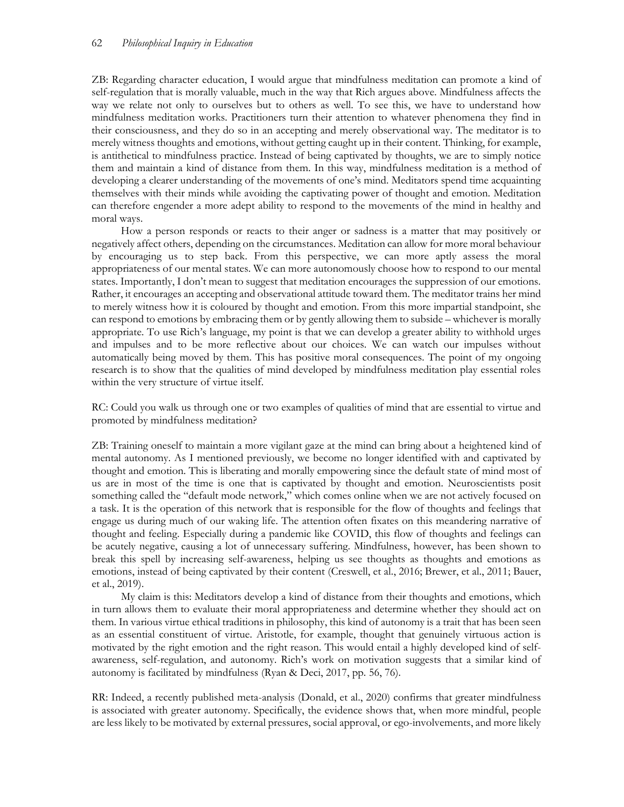ZB: Regarding character education, I would argue that mindfulness meditation can promote a kind of self-regulation that is morally valuable, much in the way that Rich argues above. Mindfulness affects the way we relate not only to ourselves but to others as well. To see this, we have to understand how mindfulness meditation works. Practitioners turn their attention to whatever phenomena they find in their consciousness, and they do so in an accepting and merely observational way. The meditator is to merely witness thoughts and emotions, without getting caught up in their content. Thinking, for example, is antithetical to mindfulness practice. Instead of being captivated by thoughts, we are to simply notice them and maintain a kind of distance from them. In this way, mindfulness meditation is a method of developing a clearer understanding of the movements of one's mind. Meditators spend time acquainting themselves with their minds while avoiding the captivating power of thought and emotion. Meditation can therefore engender a more adept ability to respond to the movements of the mind in healthy and moral ways.

How a person responds or reacts to their anger or sadness is a matter that may positively or negatively affect others, depending on the circumstances. Meditation can allow for more moral behaviour by encouraging us to step back. From this perspective, we can more aptly assess the moral appropriateness of our mental states. We can more autonomously choose how to respond to our mental states. Importantly, I don't mean to suggest that meditation encourages the suppression of our emotions. Rather, it encourages an accepting and observational attitude toward them. The meditator trains her mind to merely witness how it is coloured by thought and emotion. From this more impartial standpoint, she can respond to emotions by embracing them or by gently allowing them to subside – whichever is morally appropriate. To use Rich's language, my point is that we can develop a greater ability to withhold urges and impulses and to be more reflective about our choices. We can watch our impulses without automatically being moved by them. This has positive moral consequences. The point of my ongoing research is to show that the qualities of mind developed by mindfulness meditation play essential roles within the very structure of virtue itself.

RC: Could you walk us through one or two examples of qualities of mind that are essential to virtue and promoted by mindfulness meditation?

ZB: Training oneself to maintain a more vigilant gaze at the mind can bring about a heightened kind of mental autonomy. As I mentioned previously, we become no longer identified with and captivated by thought and emotion. This is liberating and morally empowering since the default state of mind most of us are in most of the time is one that is captivated by thought and emotion. Neuroscientists posit something called the "default mode network," which comes online when we are not actively focused on a task. It is the operation of this network that is responsible for the flow of thoughts and feelings that engage us during much of our waking life. The attention often fixates on this meandering narrative of thought and feeling. Especially during a pandemic like COVID, this flow of thoughts and feelings can be acutely negative, causing a lot of unnecessary suffering. Mindfulness, however, has been shown to break this spell by increasing self-awareness, helping us see thoughts as thoughts and emotions as emotions, instead of being captivated by their content (Creswell, et al., 2016; Brewer, et al., 2011; Bauer, et al., 2019).

My claim is this: Meditators develop a kind of distance from their thoughts and emotions, which in turn allows them to evaluate their moral appropriateness and determine whether they should act on them. In various virtue ethical traditions in philosophy, this kind of autonomy is a trait that has been seen as an essential constituent of virtue. Aristotle, for example, thought that genuinely virtuous action is motivated by the right emotion and the right reason. This would entail a highly developed kind of selfawareness, self-regulation, and autonomy. Rich's work on motivation suggests that a similar kind of autonomy is facilitated by mindfulness (Ryan & Deci, 2017, pp. 56, 76).

RR: Indeed, a recently published meta-analysis (Donald, et al., 2020) confirms that greater mindfulness is associated with greater autonomy. Specifically, the evidence shows that, when more mindful, people are less likely to be motivated by external pressures, social approval, or ego-involvements, and more likely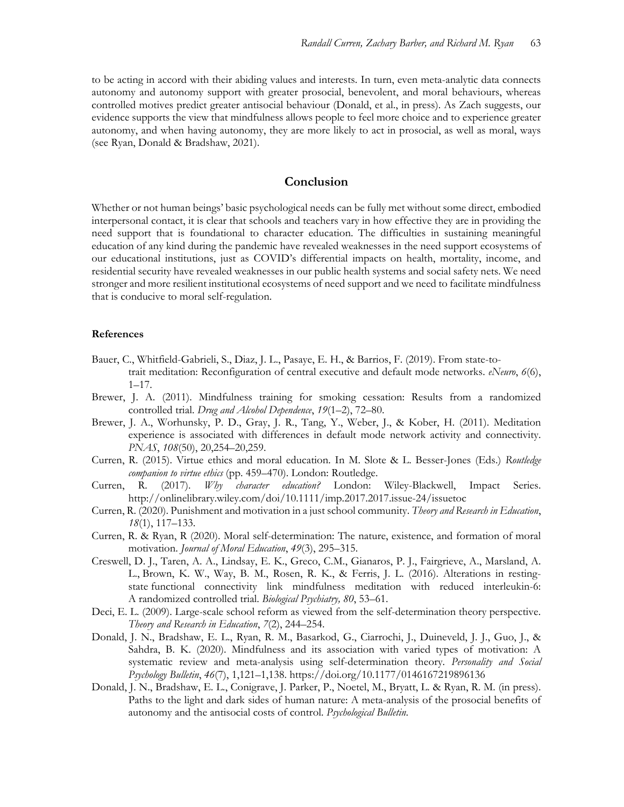to be acting in accord with their abiding values and interests. In turn, even meta-analytic data connects autonomy and autonomy support with greater prosocial, benevolent, and moral behaviours, whereas controlled motives predict greater antisocial behaviour (Donald, et al., in press). As Zach suggests, our evidence supports the view that mindfulness allows people to feel more choice and to experience greater autonomy, and when having autonomy, they are more likely to act in prosocial, as well as moral, ways (see Ryan, Donald & Bradshaw, 2021).

## **Conclusion**

Whether or not human beings' basic psychological needs can be fully met without some direct, embodied interpersonal contact, it is clear that schools and teachers vary in how effective they are in providing the need support that is foundational to character education. The difficulties in sustaining meaningful education of any kind during the pandemic have revealed weaknesses in the need support ecosystems of our educational institutions, just as COVID's differential impacts on health, mortality, income, and residential security have revealed weaknesses in our public health systems and social safety nets. We need stronger and more resilient institutional ecosystems of need support and we need to facilitate mindfulness that is conducive to moral self-regulation.

#### **References**

- Bauer, C., Whitfield-Gabrieli, S., Diaz, J. L., Pasaye, E. H., & Barrios, F. (2019). From state-totrait meditation: Reconfiguration of central executive and default mode networks. *eNeuro*, *6*(6), 1–17.
- Brewer, J. A. (2011). Mindfulness training for smoking cessation: Results from a randomized controlled trial. *Drug and Alcohol Dependence*, *19*(1–2), 72–80.
- Brewer, J. A., Worhunsky, P. D., Gray, J. R., Tang, Y., Weber, J., & Kober, H. (2011). Meditation experience is associated with differences in default mode network activity and connectivity. *PNAS*, *108*(50), 20,254–20,259.
- Curren, R. (2015). Virtue ethics and moral education. In M. Slote & L. Besser-Jones (Eds.) *Routledge companion to virtue ethics* (pp. 459–470). London: Routledge.
- Curren, R. (2017). *Why character education?* London: Wiley-Blackwell, Impact Series. http://onlinelibrary.wiley.com/doi/10.1111/imp.2017.2017.issue-24/issuetoc
- Curren, R. (2020). Punishment and motivation in a just school community. *Theory and Research in Education*, *18*(1), 117–133.
- Curren, R. & Ryan, R (2020). Moral self-determination: The nature, existence, and formation of moral motivation. *Journal of Moral Education*, *49*(3), 295–315.
- Creswell, D. J., Taren, A. A., Lindsay, E. K., Greco, C.M., Gianaros, P. J., Fairgrieve, A., Marsland, A. L., Brown, K. W., Way, B. M., Rosen, R. K., & Ferris, J. L. (2016). Alterations in restingstate functional connectivity link mindfulness meditation with reduced interleukin-6: A randomized controlled trial. *Biological Psychiatry, 80*, 53–61.
- Deci, E. L. (2009). Large-scale school reform as viewed from the self-determination theory perspective. *Theory and Research in Education*, *7*(2), 244–254.
- Donald, J. N., Bradshaw, E. L., Ryan, R. M., Basarkod, G., Ciarrochi, J., Duineveld, J. J., Guo, J., & Sahdra, B. K. (2020). Mindfulness and its association with varied types of motivation: A systematic review and meta-analysis using self-determination theory. *Personality and Social Psychology Bulletin*, *46*(7), 1,121–1,138. https://doi.org/10.1177/0146167219896136
- Donald, J. N., Bradshaw, E. L., Conigrave, J. Parker, P., Noetel, M., Bryatt, L. & Ryan, R. M. (in press). Paths to the light and dark sides of human nature: A meta-analysis of the prosocial benefits of autonomy and the antisocial costs of control. *Psychological Bulletin*.